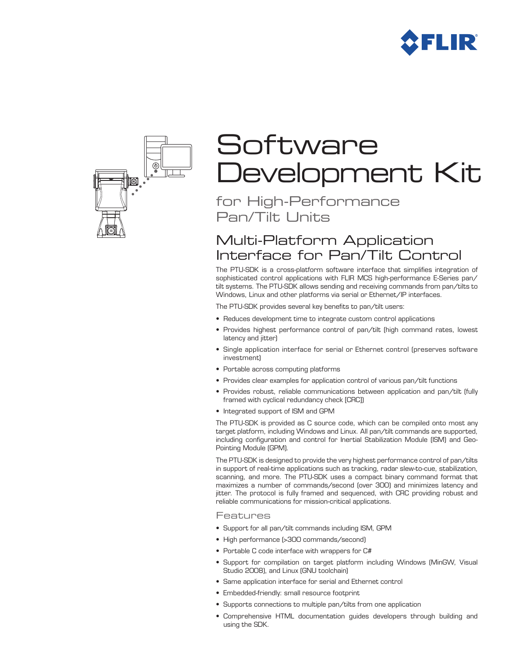



# **Software** Development Kit

for High-Performance Pan/Tilt Units

# Multi-Platform Application Interface for Pan/Tilt Control

The PTU-SDK is a cross-platform software interface that simplifies integration of sophisticated control applications with FLIR MCS high-performance E-Series pan/ tilt systems. The PTU-SDK allows sending and receiving commands from pan/tilts to Windows, Linux and other platforms via serial or Ethernet/IP interfaces.

The PTU-SDK provides several key benefits to pan/tilt users:

- Reduces development time to integrate custom control applications
- • Provides highest performance control of pan/tilt (high command rates, lowest latency and jitter)
- • Single application interface for serial or Ethernet control (preserves software investment)
- • Portable across computing platforms
- Provides clear examples for application control of various pan/tilt functions
- • Provides robust, reliable communications between application and pan/tilt (fully framed with cyclical redundancy check [CRC])
- • Integrated support of ISM and GPM

The PTU-SDK is provided as C source code, which can be compiled onto most any target platform, including Windows and Linux. All pan/tilt commands are supported, including configuration and control for Inertial Stabilization Module (ISM) and Geo-Pointing Module (GPM).

The PTU-SDK is designed to provide the very highest performance control of pan/tilts in support of real-time applications such as tracking, radar slew-to-cue, stabilization, scanning, and more. The PTU-SDK uses a compact binary command format that maximizes a number of commands/second (over 300) and minimizes latency and jitter. The protocol is fully framed and sequenced, with CRC providing robust and reliable communications for mission-critical applications.

#### Features

- Support for all pan/tilt commands including ISM, GPM
- High performance (>300 commands/second)
- Portable C code interface with wrappers for C#
- • Support for compilation on target platform including Windows (MinGW, Visual Studio 2008), and Linux (GNU toolchain)
- Same application interface for serial and Ethernet control
- • Embedded-friendly: small resource footprint
- Supports connections to multiple pan/tilts from one application
- • Comprehensive HTML documentation guides developers through building and using the SDK.